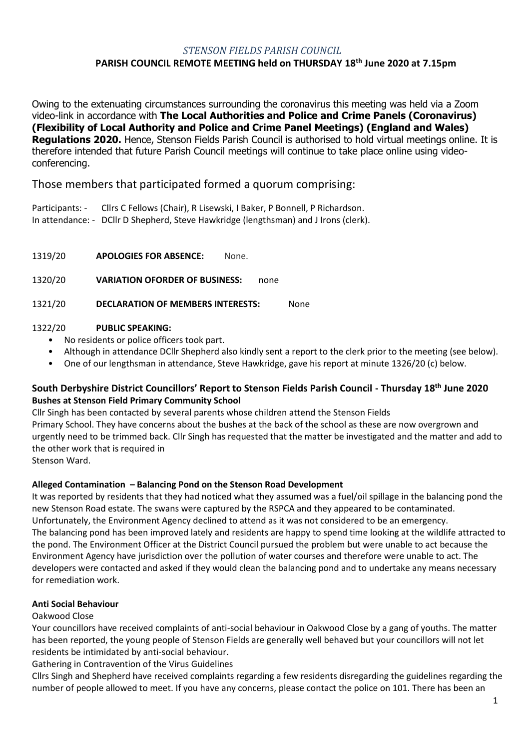### *STENSON FIELDS PARISH COUNCIL* **PARISH COUNCIL REMOTE MEETING held on THURSDAY 18th June 2020 at 7.15pm**

Owing to the extenuating circumstances surrounding the coronavirus this meeting was held via a Zoom video-link in accordance with **The Local Authorities and Police and Crime Panels (Coronavirus) (Flexibility of Local Authority and Police and Crime Panel Meetings) (England and Wales) Regulations 2020.** Hence, Stenson Fields Parish Council is authorised to hold virtual meetings online. It is therefore intended that future Parish Council meetings will continue to take place online using videoconferencing.

Those members that participated formed a quorum comprising:

Participants: - Cllrs C Fellows (Chair), R Lisewski, I Baker, P Bonnell, P Richardson. In attendance: - DCllr D Shepherd, Steve Hawkridge (lengthsman) and J Irons (clerk).

1319/20 **APOLOGIES FOR ABSENCE:** None.

1320/20 **VARIATION OFORDER OF BUSINESS:** none

1321/20 **DECLARATION OF MEMBERS INTERESTS:** None

### 1322/20 **PUBLIC SPEAKING:**

- No residents or police officers took part.
- Although in attendance DCllr Shepherd also kindly sent a report to the clerk prior to the meeting (see below).
- One of our lengthsman in attendance, Steve Hawkridge, gave his report at minute 1326/20 (c) below.

# **South Derbyshire District Councillors' Report to Stenson Fields Parish Council - Thursday 18th June 2020 Bushes at Stenson Field Primary Community School**

Cllr Singh has been contacted by several parents whose children attend the Stenson Fields Primary School. They have concerns about the bushes at the back of the school as these are now overgrown and urgently need to be trimmed back. Cllr Singh has requested that the matter be investigated and the matter and add to the other work that is required in Stenson Ward.

# **Alleged Contamination – Balancing Pond on the Stenson Road Development**

It was reported by residents that they had noticed what they assumed was a fuel/oil spillage in the balancing pond the new Stenson Road estate. The swans were captured by the RSPCA and they appeared to be contaminated. Unfortunately, the Environment Agency declined to attend as it was not considered to be an emergency. The balancing pond has been improved lately and residents are happy to spend time looking at the wildlife attracted to the pond. The Environment Officer at the District Council pursued the problem but were unable to act because the Environment Agency have jurisdiction over the pollution of water courses and therefore were unable to act. The developers were contacted and asked if they would clean the balancing pond and to undertake any means necessary for remediation work.

# **Anti Social Behaviour**

### Oakwood Close

Your councillors have received complaints of anti-social behaviour in Oakwood Close by a gang of youths. The matter has been reported, the young people of Stenson Fields are generally well behaved but your councillors will not let residents be intimidated by anti-social behaviour.

Gathering in Contravention of the Virus Guidelines

Cllrs Singh and Shepherd have received complaints regarding a few residents disregarding the guidelines regarding the number of people allowed to meet. If you have any concerns, please contact the police on 101. There has been an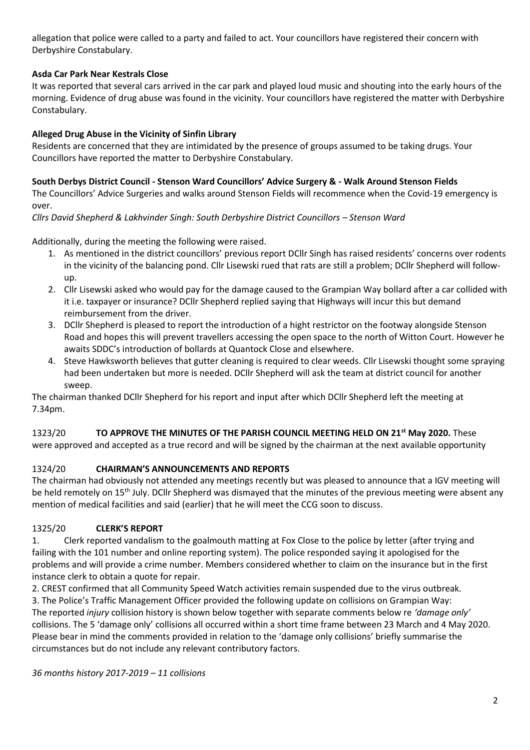allegation that police were called to a party and failed to act. Your councillors have registered their concern with Derbyshire Constabulary.

### **Asda Car Park Near Kestrals Close**

It was reported that several cars arrived in the car park and played loud music and shouting into the early hours of the morning. Evidence of drug abuse was found in the vicinity. Your councillors have registered the matter with Derbyshire Constabulary.

### **Alleged Drug Abuse in the Vicinity of Sinfin Library**

Residents are concerned that they are intimidated by the presence of groups assumed to be taking drugs. Your Councillors have reported the matter to Derbyshire Constabulary.

### **South Derbys District Council - Stenson Ward Councillors' Advice Surgery & - Walk Around Stenson Fields**

The Councillors' Advice Surgeries and walks around Stenson Fields will recommence when the Covid-19 emergency is over.

*Cllrs David Shepherd & Lakhvinder Singh: South Derbyshire District Councillors - Stenson Ward* 

Additionally, during the meeting the following were raised.

- 1. As mentioned in the district councillors' previous report DCllr Singh has raised residents' concerns over rodents in the vicinity of the balancing pond. Cllr Lisewski rued that rats are still a problem; DCllr Shepherd will followup.
- 2. Cllr Lisewski asked who would pay for the damage caused to the Grampian Way bollard after a car collided with it i.e. taxpayer or insurance? DCllr Shepherd replied saying that Highways will incur this but demand reimbursement from the driver.
- 3. DCllr Shepherd is pleased to report the introduction of a hight restrictor on the footway alongside Stenson Road and hopes this will prevent travellers accessing the open space to the north of Witton Court. However he awaits SDDC's introduction of bollards at Quantock Close and elsewhere.
- 4. Steve Hawksworth believes that gutter cleaning is required to clear weeds. Cllr Lisewski thought some spraying had been undertaken but more is needed. DCllr Shepherd will ask the team at district council for another sweep.

The chairman thanked DCllr Shepherd for his report and input after which DCllr Shepherd left the meeting at 7.34pm.

1323/20 **TO APPROVE THE MINUTES OF THE PARISH COUNCIL MEETING HELD ON 21st May 2020.** These were approved and accepted as a true record and will be signed by the chairman at the next available opportunity

# 1324/20 **CHAIRMAN'S ANNOUNCEMENTS AND REPORTS**

The chairman had obviously not attended any meetings recently but was pleased to announce that a IGV meeting will be held remotely on 15<sup>th</sup> July. DCllr Shepherd was dismayed that the minutes of the previous meeting were absent any mention of medical facilities and said (earlier) that he will meet the CCG soon to discuss.

### 1325/20 **CLERK'S REPORT**

1. Clerk reported vandalism to the goalmouth matting at Fox Close to the police by letter (after trying and failing with the 101 number and online reporting system). The police responded saying it apologised for the problems and will provide a crime number. Members considered whether to claim on the insurance but in the first instance clerk to obtain a quote for repair.

2. CREST confirmed that all Community Speed Watch activities remain suspended due to the virus outbreak. 3. The Police's Traffic Management Officer provided the following update on collisions on Grampian Way: The reported *injury* collision history is shown below together with separate comments below re *'damage only'* collisions. The 5 'damage only' collisions all occurred within a short time frame between 23 March and 4 May 2020. Please bear in mind the comments provided in relation to the 'damage only collisions' briefly summarise the circumstances but do not include any relevant contributory factors.

*36 months history 2017-2019 – 11 collisions*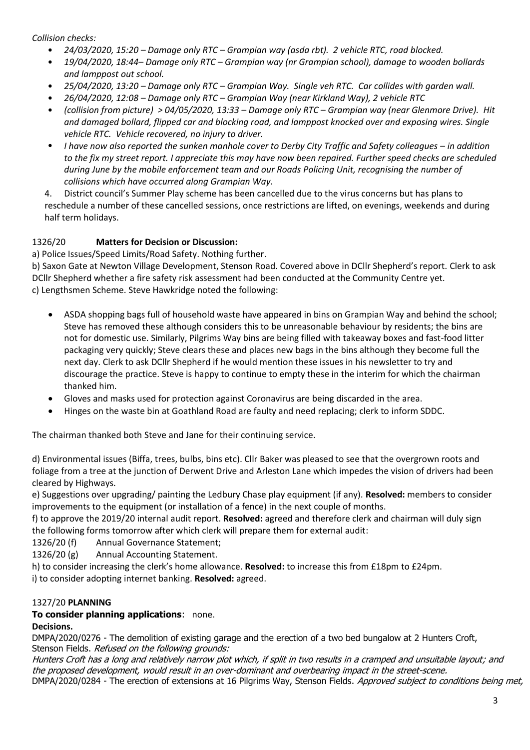*Collision checks:*

- *24/03/2020, 15:20 – Damage only RTC – Grampian way (asda rbt). 2 vehicle RTC, road blocked.*
- *19/04/2020, 18:44– Damage only RTC – Grampian way (nr Grampian school), damage to wooden bollards and lamppost out school.*
- *25/04/2020, 13:20 – Damage only RTC – Grampian Way. Single veh RTC. Car collides with garden wall.*
- *26/04/2020, 12:08 – Damage only RTC – Grampian Way (near Kirkland Way), 2 vehicle RTC*
- *(collision from picture) > 04/05/2020, 13:33 – Damage only RTC – Grampian way (near Glenmore Drive). Hit and damaged bollard, flipped car and blocking road, and lamppost knocked over and exposing wires. Single vehicle RTC. Vehicle recovered, no injury to driver.*
- *I have now also reported the sunken manhole cover to Derby City Traffic and Safety colleagues – in addition to the fix my street report. I appreciate this may have now been repaired. Further speed checks are scheduled during June by the mobile enforcement team and our Roads Policing Unit, recognising the number of collisions which have occurred along Grampian Way.*

4. District council's Summer Play scheme has been cancelled due to the virus concerns but has plans to reschedule a number of these cancelled sessions, once restrictions are lifted, on evenings, weekends and during half term holidays.

# 1326/20 **Matters for Decision or Discussion:**

a) Police Issues/Speed Limits/Road Safety. Nothing further.

b) Saxon Gate at Newton Village Development, Stenson Road. Covered above in DCllr Shepherd's report. Clerk to ask DCllr Shepherd whether a fire safety risk assessment had been conducted at the Community Centre yet. c) Lengthsmen Scheme. Steve Hawkridge noted the following:

- ASDA shopping bags full of household waste have appeared in bins on Grampian Way and behind the school; Steve has removed these although considers this to be unreasonable behaviour by residents; the bins are not for domestic use. Similarly, Pilgrims Way bins are being filled with takeaway boxes and fast-food litter packaging very quickly; Steve clears these and places new bags in the bins although they become full the next day. Clerk to ask DCllr Shepherd if he would mention these issues in his newsletter to try and discourage the practice. Steve is happy to continue to empty these in the interim for which the chairman thanked him.
- Gloves and masks used for protection against Coronavirus are being discarded in the area.
- Hinges on the waste bin at Goathland Road are faulty and need replacing; clerk to inform SDDC.

The chairman thanked both Steve and Jane for their continuing service.

d) Environmental issues (Biffa, trees, bulbs, bins etc). Cllr Baker was pleased to see that the overgrown roots and foliage from a tree at the junction of Derwent Drive and Arleston Lane which impedes the vision of drivers had been cleared by Highways.

e) Suggestions over upgrading/ painting the Ledbury Chase play equipment (if any). **Resolved:** members to consider improvements to the equipment (or installation of a fence) in the next couple of months.

f) to approve the 2019/20 internal audit report. **Resolved:** agreed and therefore clerk and chairman will duly sign the following forms tomorrow after which clerk will prepare them for external audit:

1326/20 (f) Annual Governance Statement;

1326/20 (g) Annual Accounting Statement.

h) to consider increasing the clerk's home allowance. **Resolved:** to increase this from £18pm to £24pm. i) to consider adopting internet banking. **Resolved:** agreed.

### 1327/20 **PLANNING**

### **To consider planning applications**: none.

### **Decisions.**

DMPA/2020/0276 - The demolition of existing garage and the erection of a two bed bungalow at 2 Hunters Croft, Stenson Fields. Refused on the following grounds:

Hunters Croft has a long and relatively narrow plot which, if split in two results in a cramped and unsuitable layout; and the proposed development, would result in an over-dominant and overbearing impact in the street-scene. DMPA/2020/0284 - The erection of extensions at 16 Pilgrims Way, Stenson Fields. Approved subject to conditions being met,